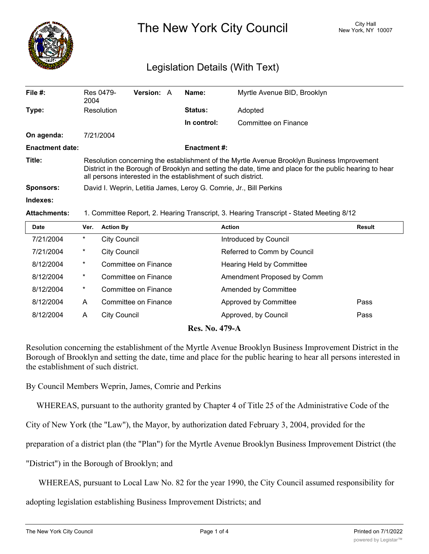

## The New York City Council New York, NY 10007

## Legislation Details (With Text)

| File $#$ :             | Res 0479-<br>2004                                                                                                                                                                                                                                                      | <b>Version: A</b> |  | Name:          | Myrtle Avenue BID, Brooklyn |  |  |
|------------------------|------------------------------------------------------------------------------------------------------------------------------------------------------------------------------------------------------------------------------------------------------------------------|-------------------|--|----------------|-----------------------------|--|--|
| Type:                  | Resolution                                                                                                                                                                                                                                                             |                   |  | <b>Status:</b> | Adopted                     |  |  |
|                        |                                                                                                                                                                                                                                                                        |                   |  | In control:    | Committee on Finance        |  |  |
| On agenda:             | 7/21/2004                                                                                                                                                                                                                                                              |                   |  |                |                             |  |  |
| <b>Enactment date:</b> | <b>Enactment #:</b>                                                                                                                                                                                                                                                    |                   |  |                |                             |  |  |
| Title:                 | Resolution concerning the establishment of the Myrtle Avenue Brooklyn Business Improvement<br>District in the Borough of Brooklyn and setting the date, time and place for the public hearing to hear<br>all persons interested in the establishment of such district. |                   |  |                |                             |  |  |
| Sponsors:              | David I. Weprin, Letitia James, Leroy G. Comrie, Jr., Bill Perkins                                                                                                                                                                                                     |                   |  |                |                             |  |  |
| Indexes:               |                                                                                                                                                                                                                                                                        |                   |  |                |                             |  |  |

## **Attachments:** 1. Committee Report, 2. Hearing Transcript, 3. Hearing Transcript - Stated Meeting 8/12

| <b>Date</b>                                                                               | Ver.     | <b>Action By</b>     | <b>Action</b>               | Result |  |  |  |  |
|-------------------------------------------------------------------------------------------|----------|----------------------|-----------------------------|--------|--|--|--|--|
| 7/21/2004                                                                                 | $\ast$   | <b>City Council</b>  | Introduced by Council       |        |  |  |  |  |
| 7/21/2004                                                                                 | $^\star$ | <b>City Council</b>  | Referred to Comm by Council |        |  |  |  |  |
| 8/12/2004                                                                                 | $^\star$ | Committee on Finance | Hearing Held by Committee   |        |  |  |  |  |
| 8/12/2004                                                                                 | $^\star$ | Committee on Finance | Amendment Proposed by Comm  |        |  |  |  |  |
| 8/12/2004                                                                                 | $\ast$   | Committee on Finance | Amended by Committee        |        |  |  |  |  |
| 8/12/2004                                                                                 | A        | Committee on Finance | Approved by Committee       | Pass   |  |  |  |  |
| 8/12/2004                                                                                 | A        | <b>City Council</b>  | Approved, by Council        | Pass   |  |  |  |  |
| $\mathbf{D}_{\alpha\alpha}$ $\mathbf{N}_{\alpha}$ $\mathbf{A}$ $\mathbf{70}$ $\mathbf{A}$ |          |                      |                             |        |  |  |  |  |

**Res. No. 479-A**

Resolution concerning the establishment of the Myrtle Avenue Brooklyn Business Improvement District in the Borough of Brooklyn and setting the date, time and place for the public hearing to hear all persons interested in the establishment of such district.

By Council Members Weprin, James, Comrie and Perkins

WHEREAS, pursuant to the authority granted by Chapter 4 of Title 25 of the Administrative Code of the

City of New York (the "Law"), the Mayor, by authorization dated February 3, 2004, provided for the

preparation of a district plan (the "Plan") for the Myrtle Avenue Brooklyn Business Improvement District (the

"District") in the Borough of Brooklyn; and

WHEREAS, pursuant to Local Law No. 82 for the year 1990, the City Council assumed responsibility for

adopting legislation establishing Business Improvement Districts; and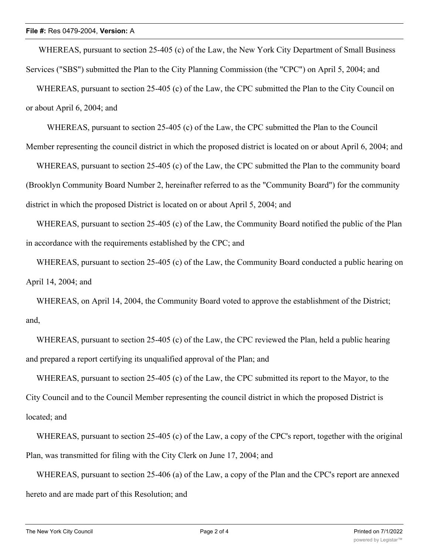WHEREAS, pursuant to section 25-405 (c) of the Law, the New York City Department of Small Business Services ("SBS") submitted the Plan to the City Planning Commission (the "CPC") on April 5, 2004; and

 WHEREAS, pursuant to section 25-405 (c) of the Law, the CPC submitted the Plan to the City Council on or about April 6, 2004; and

 WHEREAS, pursuant to section 25-405 (c) of the Law, the CPC submitted the Plan to the Council Member representing the council district in which the proposed district is located on or about April 6, 2004; and

 WHEREAS, pursuant to section 25-405 (c) of the Law, the CPC submitted the Plan to the community board (Brooklyn Community Board Number 2, hereinafter referred to as the "Community Board") for the community district in which the proposed District is located on or about April 5, 2004; and

 WHEREAS, pursuant to section 25-405 (c) of the Law, the Community Board notified the public of the Plan in accordance with the requirements established by the CPC; and

 WHEREAS, pursuant to section 25-405 (c) of the Law, the Community Board conducted a public hearing on April 14, 2004; and

 WHEREAS, on April 14, 2004, the Community Board voted to approve the establishment of the District; and,

 WHEREAS, pursuant to section 25-405 (c) of the Law, the CPC reviewed the Plan, held a public hearing and prepared a report certifying its unqualified approval of the Plan; and

 WHEREAS, pursuant to section 25-405 (c) of the Law, the CPC submitted its report to the Mayor, to the City Council and to the Council Member representing the council district in which the proposed District is located; and

WHEREAS, pursuant to section 25-405 (c) of the Law, a copy of the CPC's report, together with the original Plan, was transmitted for filing with the City Clerk on June 17, 2004; and

 WHEREAS, pursuant to section 25-406 (a) of the Law, a copy of the Plan and the CPC's report are annexed hereto and are made part of this Resolution; and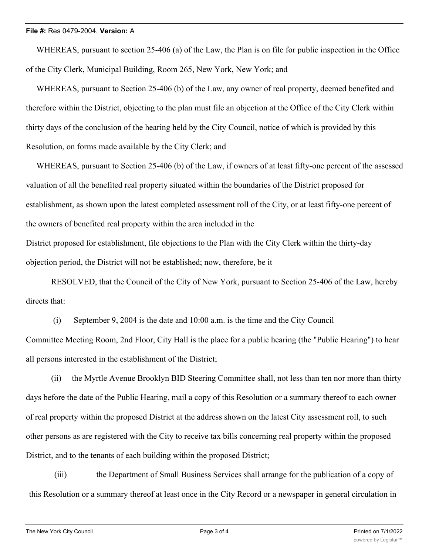## **File #:** Res 0479-2004, **Version:** A

 WHEREAS, pursuant to section 25-406 (a) of the Law, the Plan is on file for public inspection in the Office of the City Clerk, Municipal Building, Room 265, New York, New York; and

 WHEREAS, pursuant to Section 25-406 (b) of the Law, any owner of real property, deemed benefited and therefore within the District, objecting to the plan must file an objection at the Office of the City Clerk within thirty days of the conclusion of the hearing held by the City Council, notice of which is provided by this Resolution, on forms made available by the City Clerk; and

 WHEREAS, pursuant to Section 25-406 (b) of the Law, if owners of at least fifty-one percent of the assessed valuation of all the benefited real property situated within the boundaries of the District proposed for establishment, as shown upon the latest completed assessment roll of the City, or at least fifty-one percent of the owners of benefited real property within the area included in the District proposed for establishment, file objections to the Plan with the City Clerk within the thirty-day objection period, the District will not be established; now, therefore, be it

RESOLVED, that the Council of the City of New York, pursuant to Section 25-406 of the Law, hereby directs that:

 (i) September 9, 2004 is the date and 10:00 a.m. is the time and the City Council Committee Meeting Room, 2nd Floor, City Hall is the place for a public hearing (the "Public Hearing") to hear

all persons interested in the establishment of the District;

 (ii) the Myrtle Avenue Brooklyn BID Steering Committee shall, not less than ten nor more than thirty days before the date of the Public Hearing, mail a copy of this Resolution or a summary thereof to each owner of real property within the proposed District at the address shown on the latest City assessment roll, to such other persons as are registered with the City to receive tax bills concerning real property within the proposed District, and to the tenants of each building within the proposed District;

(iii) the Department of Small Business Services shall arrange for the publication of a copy of this Resolution or a summary thereof at least once in the City Record or a newspaper in general circulation in